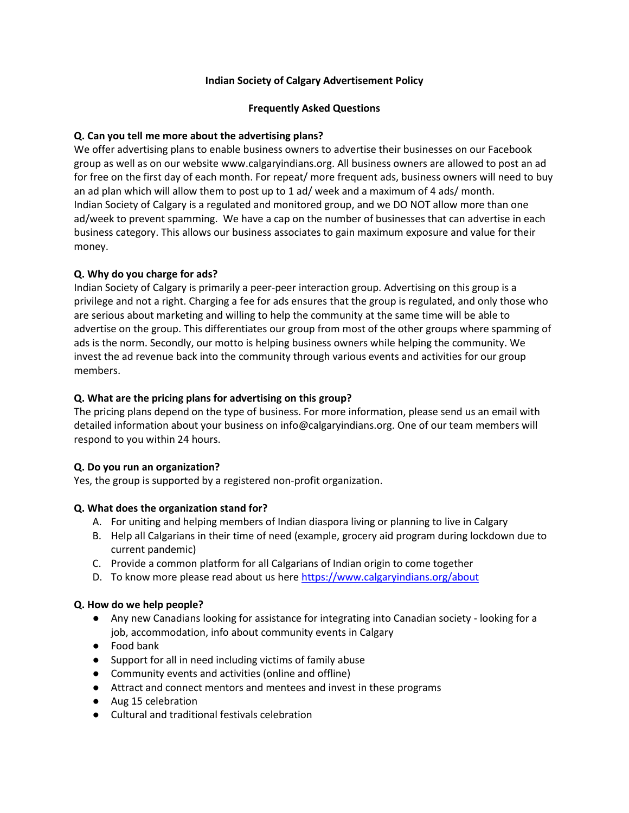# **Indian Society of Calgary Advertisement Policy**

## **Frequently Asked Questions**

# **Q. Can you tell me more about the advertising plans?**

We offer advertising plans to enable business owners to advertise their businesses on our Facebook group as well as on our website www.calgaryindians.org. All business owners are allowed to post an ad for free on the first day of each month. For repeat/ more frequent ads, business owners will need to buy an ad plan which will allow them to post up to 1 ad/ week and a maximum of 4 ads/ month. Indian Society of Calgary is a regulated and monitored group, and we DO NOT allow more than one ad/week to prevent spamming. We have a cap on the number of businesses that can advertise in each business category. This allows our business associates to gain maximum exposure and value for their money.

## **Q. Why do you charge for ads?**

Indian Society of Calgary is primarily a peer-peer interaction group. Advertising on this group is a privilege and not a right. Charging a fee for ads ensures that the group is regulated, and only those who are serious about marketing and willing to help the community at the same time will be able to advertise on the group. This differentiates our group from most of the other groups where spamming of ads is the norm. Secondly, our motto is helping business owners while helping the community. We invest the ad revenue back into the community through various events and activities for our group members.

## **Q. What are the pricing plans for advertising on this group?**

The pricing plans depend on the type of business. For more information, please send us an email with detailed information about your business on info@calgaryindians.org. One of our team members will respond to you within 24 hours.

### **Q. Do you run an organization?**

Yes, the group is supported by a registered non-profit organization.

# **Q. What does the organization stand for?**

- A. For uniting and helping members of Indian diaspora living or planning to live in Calgary
- B. Help all Calgarians in their time of need (example, grocery aid program during lockdown due to current pandemic)
- C. Provide a common platform for all Calgarians of Indian origin to come together
- D. To know more please read about us her[e https://www.calgaryindians.org/about](https://www.calgaryindians.org/about)

# **Q. How do we help people?**

- Any new Canadians looking for assistance for integrating into Canadian society looking for a job, accommodation, info about community events in Calgary
- Food bank
- Support for all in need including victims of family abuse
- Community events and activities (online and offline)
- Attract and connect mentors and mentees and invest in these programs
- Aug 15 celebration
- Cultural and traditional festivals celebration